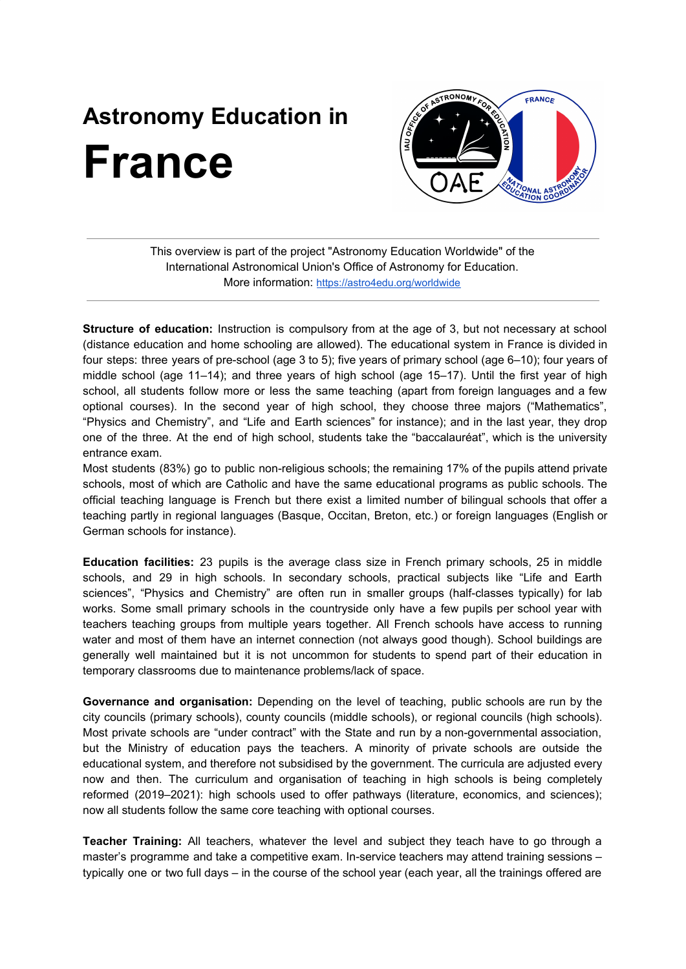## **Astronomy Education in France**



This overview is part of the project "Astronomy Education Worldwide" of the International Astronomical Union's Office of Astronomy for Education. More information: <https://astro4edu.org/worldwide>

**Structure of education:** Instruction is compulsory from at the age of 3, but not necessary at school (distance education and home schooling are allowed). The educational system in France is divided in four steps: three years of pre-school (age 3 to 5); five years of primary school (age 6–10); four years of middle school (age 11–14); and three years of high school (age 15–17). Until the first year of high school, all students follow more or less the same teaching (apart from foreign languages and a few optional courses). In the second year of high school, they choose three majors ("Mathematics", "Physics and Chemistry", and "Life and Earth sciences" for instance); and in the last year, they drop one of the three. At the end of high school, students take the "baccalauréat", which is the university entrance exam.

Most students (83%) go to public non-religious schools; the remaining 17% of the pupils attend private schools, most of which are Catholic and have the same educational programs as public schools. The official teaching language is French but there exist a limited number of bilingual schools that offer a teaching partly in regional languages (Basque, Occitan, Breton, etc.) or foreign languages (English or German schools for instance).

**Education facilities:** 23 pupils is the average class size in French primary schools, 25 in middle schools, and 29 in high schools. In secondary schools, practical subjects like "Life and Earth sciences", "Physics and Chemistry" are often run in smaller groups (half-classes typically) for lab works. Some small primary schools in the countryside only have a few pupils per school year with teachers teaching groups from multiple years together. All French schools have access to running water and most of them have an internet connection (not always good though). School buildings are generally well maintained but it is not uncommon for students to spend part of their education in temporary classrooms due to maintenance problems/lack of space.

**Governance and organisation:** Depending on the level of teaching, public schools are run by the city councils (primary schools), county councils (middle schools), or regional councils (high schools). Most private schools are "under contract" with the State and run by a non-governmental association, but the Ministry of education pays the teachers. A minority of private schools are outside the educational system, and therefore not subsidised by the government. The curricula are adjusted every now and then. The curriculum and organisation of teaching in high schools is being completely reformed (2019–2021): high schools used to offer pathways (literature, economics, and sciences); now all students follow the same core teaching with optional courses.

**Teacher Training:** All teachers, whatever the level and subject they teach have to go through a master's programme and take a competitive exam. In-service teachers may attend training sessions – typically one or two full days – in the course of the school year (each year, all the trainings offered are